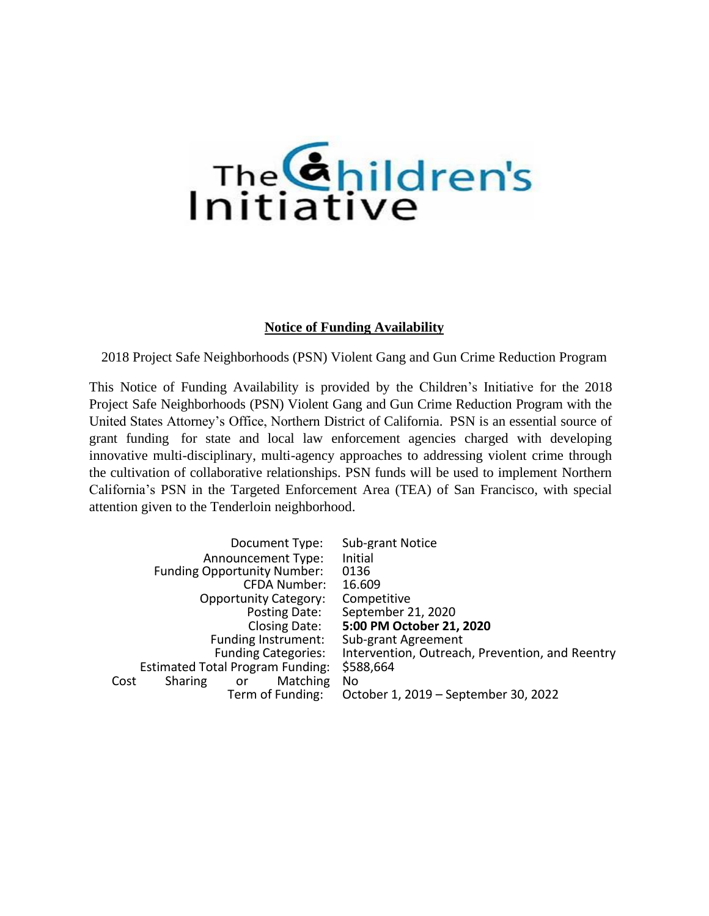

### **Notice of Funding Availability**

2018 Project Safe Neighborhoods (PSN) Violent Gang and Gun Crime Reduction Program

This Notice of Funding Availability is provided by the Children's Initiative for the 2018 Project Safe Neighborhoods (PSN) Violent Gang and Gun Crime Reduction Program with the United States Attorney's Office, Northern District of California. PSN is an essential source of grant funding for state and local law enforcement agencies charged with developing innovative multi-disciplinary, multi-agency approaches to addressing violent crime through the cultivation of collaborative relationships. PSN funds will be used to implement Northern California's PSN in the Targeted Enforcement Area (TEA) of San Francisco, with special attention given to the Tenderloin neighborhood.

| Document Type:                                  | Sub-grant Notice                                |
|-------------------------------------------------|-------------------------------------------------|
| <b>Announcement Type:</b>                       | Initial                                         |
| <b>Funding Opportunity Number:</b>              | 0136                                            |
| CFDA Number:                                    | 16.609                                          |
| <b>Opportunity Category:</b>                    | Competitive                                     |
| Posting Date:                                   | September 21, 2020                              |
| Closing Date:                                   | 5:00 PM October 21, 2020                        |
| Funding Instrument:                             | Sub-grant Agreement                             |
| <b>Funding Categories:</b>                      | Intervention, Outreach, Prevention, and Reentry |
| <b>Estimated Total Program Funding:</b>         | \$588,664                                       |
| <b>Matching</b><br><b>Sharing</b><br>Cost<br>or | No                                              |
| Term of Funding:                                | October 1, 2019 – September 30, 2022            |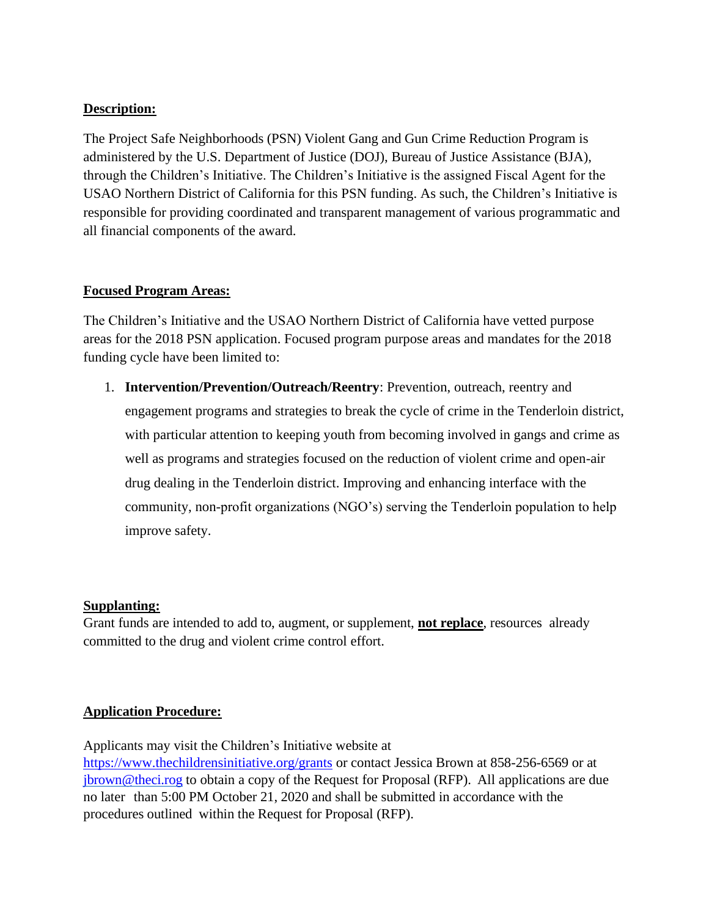## **Description:**

The Project Safe Neighborhoods (PSN) Violent Gang and Gun Crime Reduction Program is administered by the U.S. Department of Justice (DOJ), Bureau of Justice Assistance (BJA), through the Children's Initiative. The Children's Initiative is the assigned Fiscal Agent for the USAO Northern District of California for this PSN funding. As such, the Children's Initiative is responsible for providing coordinated and transparent management of various programmatic and all financial components of the award.

## **Focused Program Areas:**

The Children's Initiative and the USAO Northern District of California have vetted purpose areas for the 2018 PSN application. Focused program purpose areas and mandates for the 2018 funding cycle have been limited to:

1. **Intervention/Prevention/Outreach/Reentry**: Prevention, outreach, reentry and engagement programs and strategies to break the cycle of crime in the Tenderloin district, with particular attention to keeping youth from becoming involved in gangs and crime as well as programs and strategies focused on the reduction of violent crime and open-air drug dealing in the Tenderloin district. Improving and enhancing interface with the community, non-profit organizations (NGO's) serving the Tenderloin population to help improve safety.

## **Supplanting:**

Grant funds are intended to add to, augment, or supplement, **not replace**, resources already committed to the drug and violent crime control effort.

## **Application Procedure:**

Applicants may visit the Children's Initiative website at <https://www.thechildrensinitiative.org/grants> or contact Jessica Brown at 858-256-6569 or at [jbrown@theci.rog](mailto:jbrown@theci.rog) to obtain a copy of the Request for Proposal (RFP). All applications are due no later than 5:00 PM October 21, 2020 and shall be submitted in accordance with the procedures outlined within the Request for Proposal (RFP).